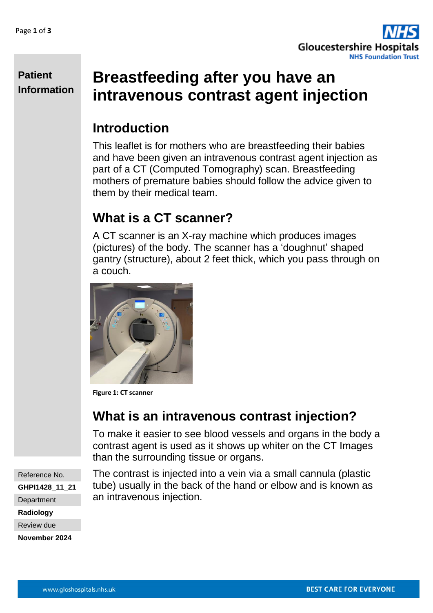

**Patient Information**

# **Breastfeeding after you have an intravenous contrast agent injection**

### **Introduction**

This leaflet is for mothers who are breastfeeding their babies and have been given an intravenous contrast agent injection as part of a CT (Computed Tomography) scan. Breastfeeding mothers of premature babies should follow the advice given to them by their medical team.

## **What is a CT scanner?**

A CT scanner is an X-ray machine which produces images (pictures) of the body. The scanner has a 'doughnut' shaped gantry (structure), about 2 feet thick, which you pass through on a couch.



**Figure 1: CT scanner**

## **What is an intravenous contrast injection?**

To make it easier to see blood vessels and organs in the body a contrast agent is used as it shows up whiter on the CT Images than the surrounding tissue or organs.

Reference No. **GHPI1428\_11\_21 Department Radiology** Review due **November 2024**

The contrast is injected into a vein via a small cannula (plastic tube) usually in the back of the hand or elbow and is known as an intravenous injection.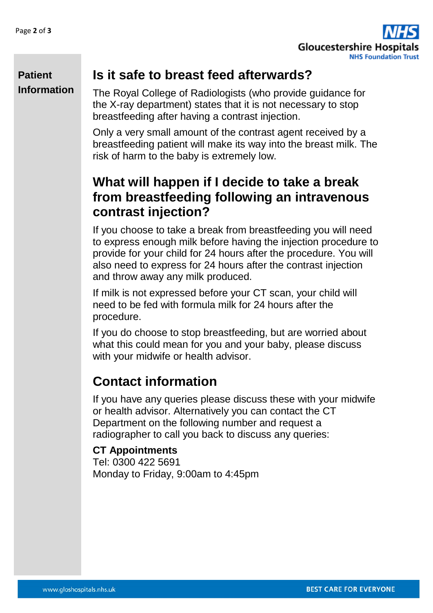

#### **Patient Information**

### **Is it safe to breast feed afterwards?**

The Royal College of Radiologists (who provide guidance for the X-ray department) states that it is not necessary to stop breastfeeding after having a contrast injection.

Only a very small amount of the contrast agent received by a breastfeeding patient will make its way into the breast milk. The risk of harm to the baby is extremely low.

### **What will happen if I decide to take a break from breastfeeding following an intravenous contrast injection?**

If you choose to take a break from breastfeeding you will need to express enough milk before having the injection procedure to provide for your child for 24 hours after the procedure. You will also need to express for 24 hours after the contrast injection and throw away any milk produced.

If milk is not expressed before your CT scan, your child will need to be fed with formula milk for 24 hours after the procedure.

If you do choose to stop breastfeeding, but are worried about what this could mean for you and your baby, please discuss with your midwife or health advisor.

## **Contact information**

If you have any queries please discuss these with your midwife or health advisor. Alternatively you can contact the CT Department on the following number and request a radiographer to call you back to discuss any queries:

#### **CT Appointments**

Tel: 0300 422 5691 Monday to Friday, 9:00am to 4:45pm